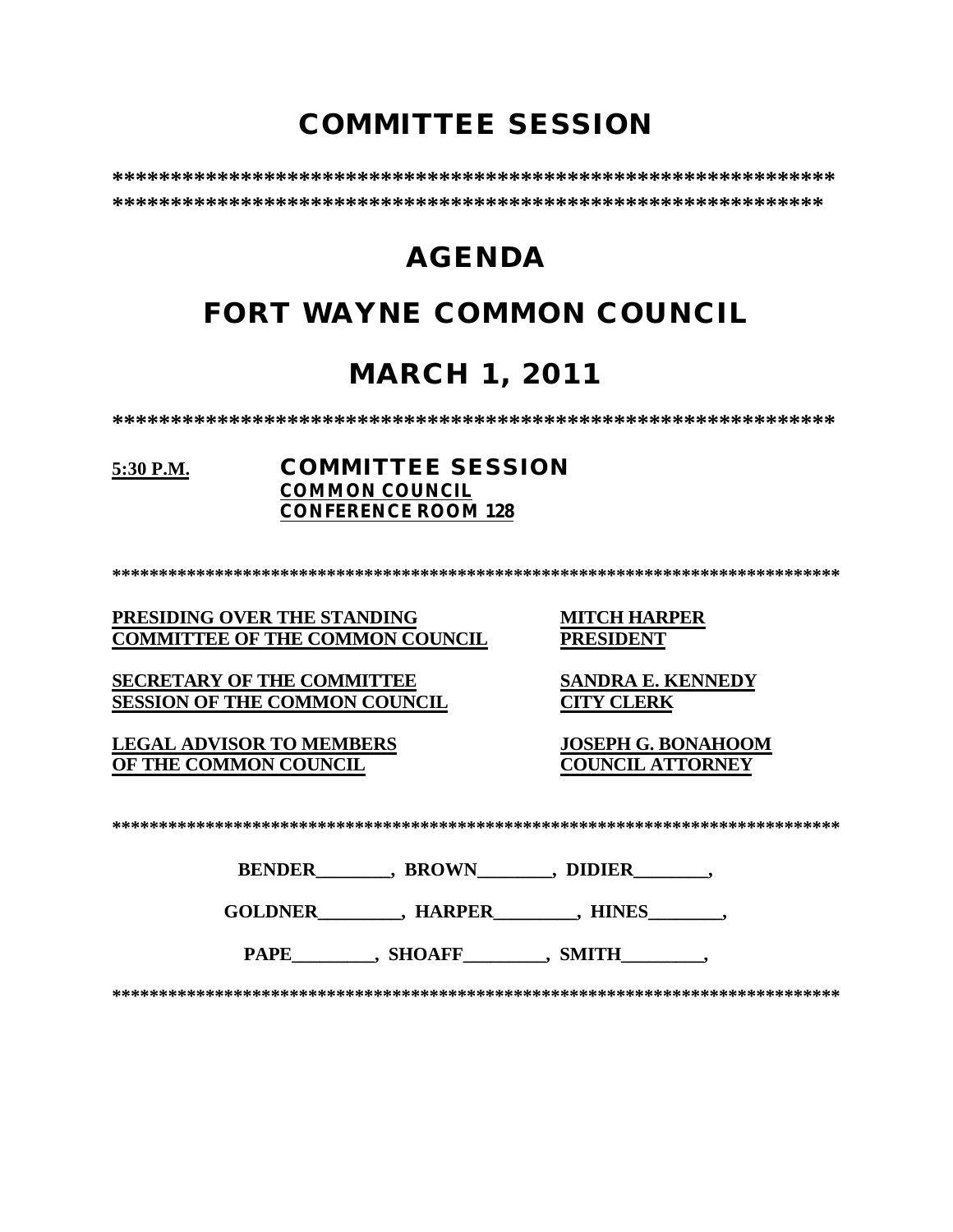# **COMMITTEE SESSION**

# **AGENDA**

# **FORT WAYNE COMMON COUNCIL**

# **MARCH 1, 2011**

## 5:30 P.M.

## **COMMITTEE SESSION COMMON COUNCIL CONFERENCE ROOM 128**

PRESIDING OVER THE STANDING **COMMITTEE OF THE COMMON COUNCIL**  **MITCH HARPER PRESIDENT** 

**SECRETARY OF THE COMMITTEE SESSION OF THE COMMON COUNCIL** 

**LEGAL ADVISOR TO MEMBERS** OF THE COMMON COUNCIL

**SANDRA E. KENNEDY CITY CLERK** 

**JOSEPH G. BONAHOOM COUNCIL ATTORNEY** 

BENDER \_\_\_\_\_\_\_, BROWN\_\_\_\_\_\_\_, DIDIER\_\_\_\_\_\_\_,

GOLDNER HARPER HINES , HINES

PAPE\_\_\_\_\_\_\_\_\_, SHOAFF\_\_\_\_\_\_\_\_, SMITH\_\_\_\_\_\_\_\_,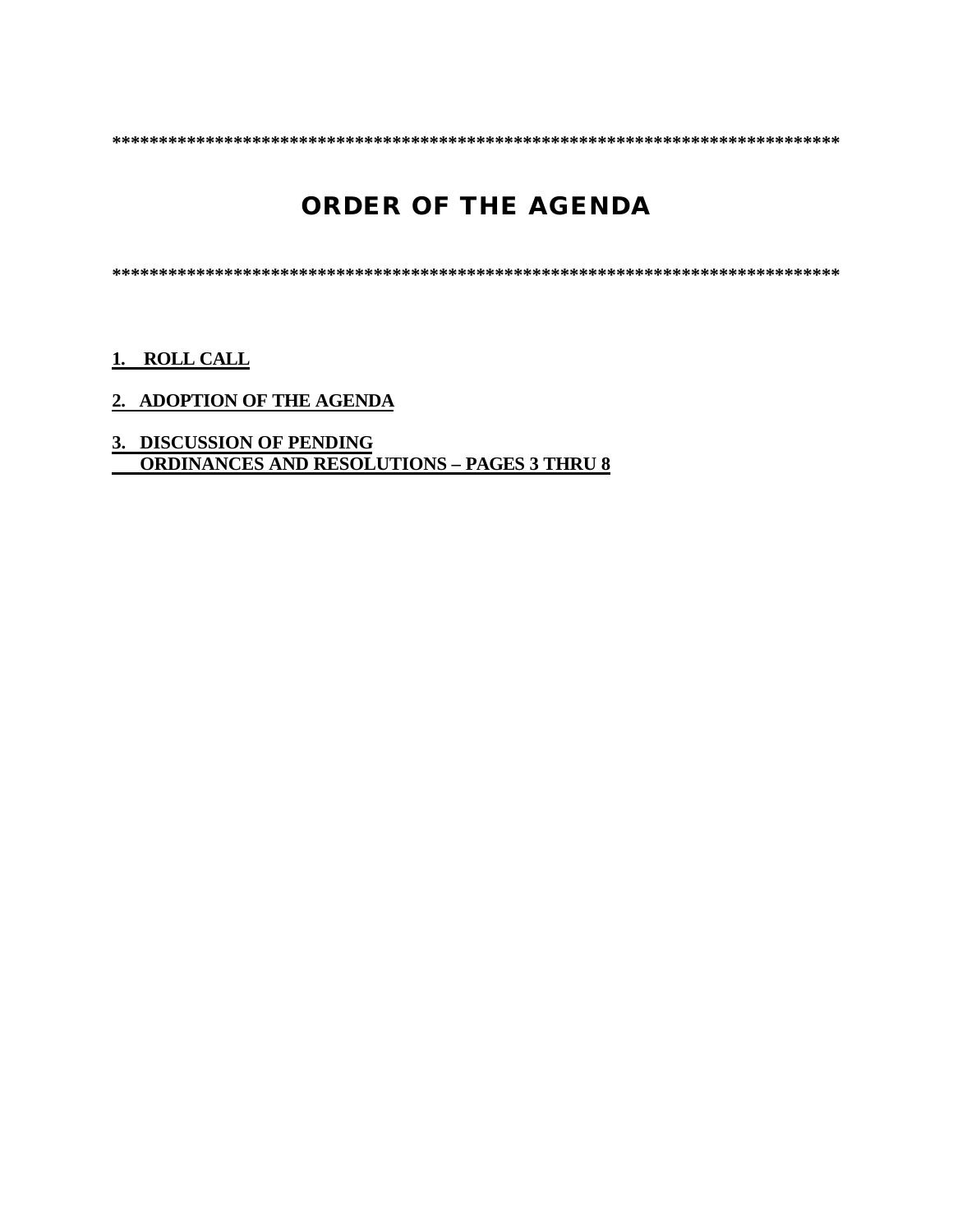# **ORDER OF THE AGENDA**

## 1. ROLL CALL

## 2. ADOPTION OF THE AGENDA

# 3. DISCUSSION OF PENDING<br>ORDINANCES AND RESOLUTIONS - PAGES 3 THRU 8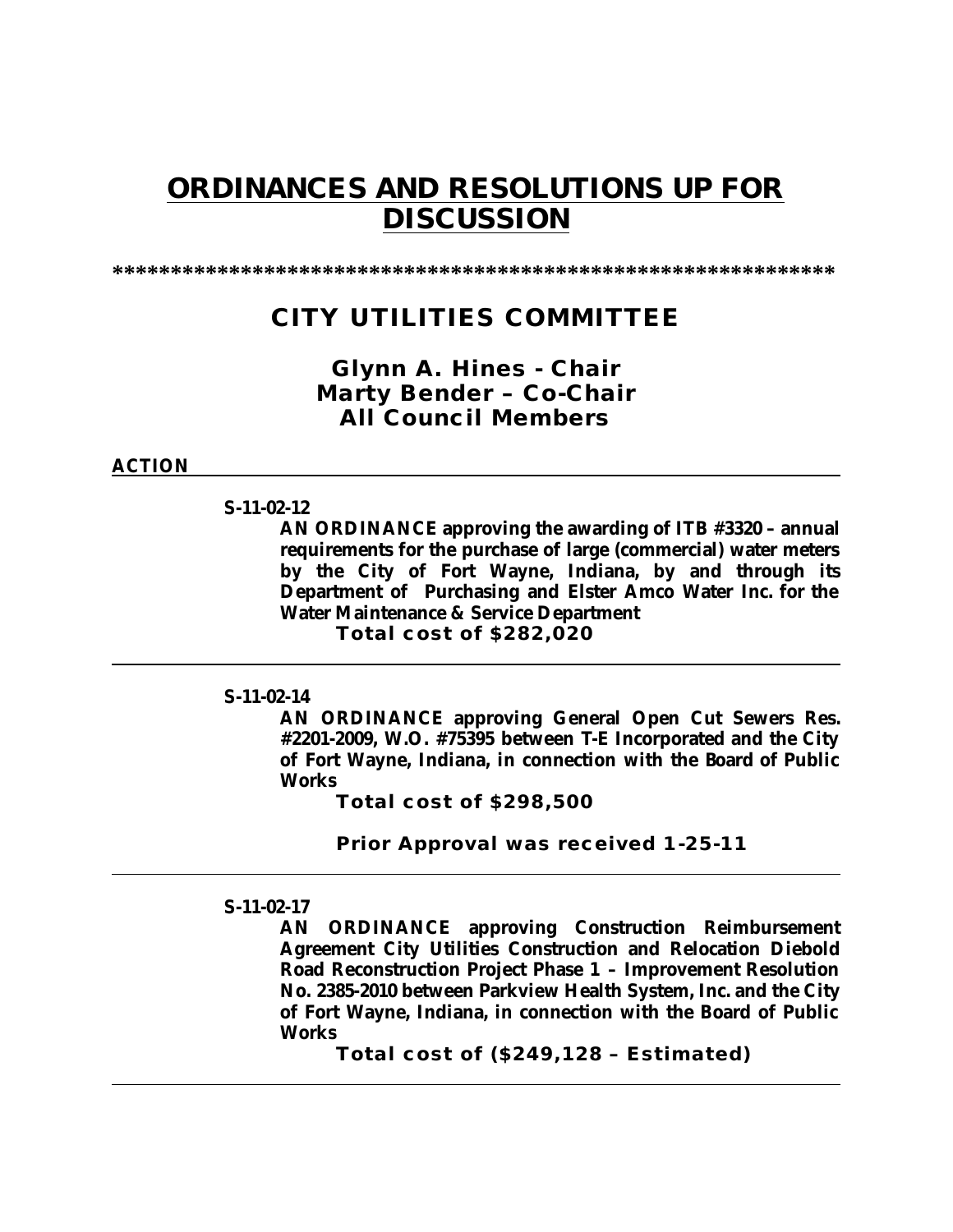# **ORDINANCES AND RESOLUTIONS UP FOR DISCUSSION**

**\*\*\*\*\*\*\*\*\*\*\*\*\*\*\*\*\*\*\*\*\*\*\*\*\*\*\*\*\*\*\*\*\*\*\*\*\*\*\*\*\*\*\*\*\*\*\*\*\*\*\*\*\*\*\*\*\*\*\*\*\*\***

## **CITY UTILITIES COMMITTEE**

## *Glynn A. Hines - Chair Marty Bender – Co-Chair All Council Members*

#### **ACTION**

## **S-11-02-12**

**AN ORDINANCE approving the awarding of ITB #3320 – annual requirements for the purchase of large (commercial) water meters by the City of Fort Wayne, Indiana, by and through its Department of Purchasing and Elster Amco Water Inc. for the Water Maintenance & Service Department Total cost of \$282,020**

## **S-11-02-14**

**AN ORDINANCE approving General Open Cut Sewers Res. #2201-2009, W.O. #75395 between T-E Incorporated and the City of Fort Wayne, Indiana, in connection with the Board of Public Works**

**Total cost of \$298,500**

**Prior Approval was received 1-25-11**

#### **S-11-02-17**

**AN ORDINANCE approving Construction Reimbursement Agreement City Utilities Construction and Relocation Diebold Road Reconstruction Project Phase 1 – Improvement Resolution No. 2385-2010 between Parkview Health System, Inc. and the City of Fort Wayne, Indiana, in connection with the Board of Public Works**

**Total cost of (\$249,128 – Estimated)**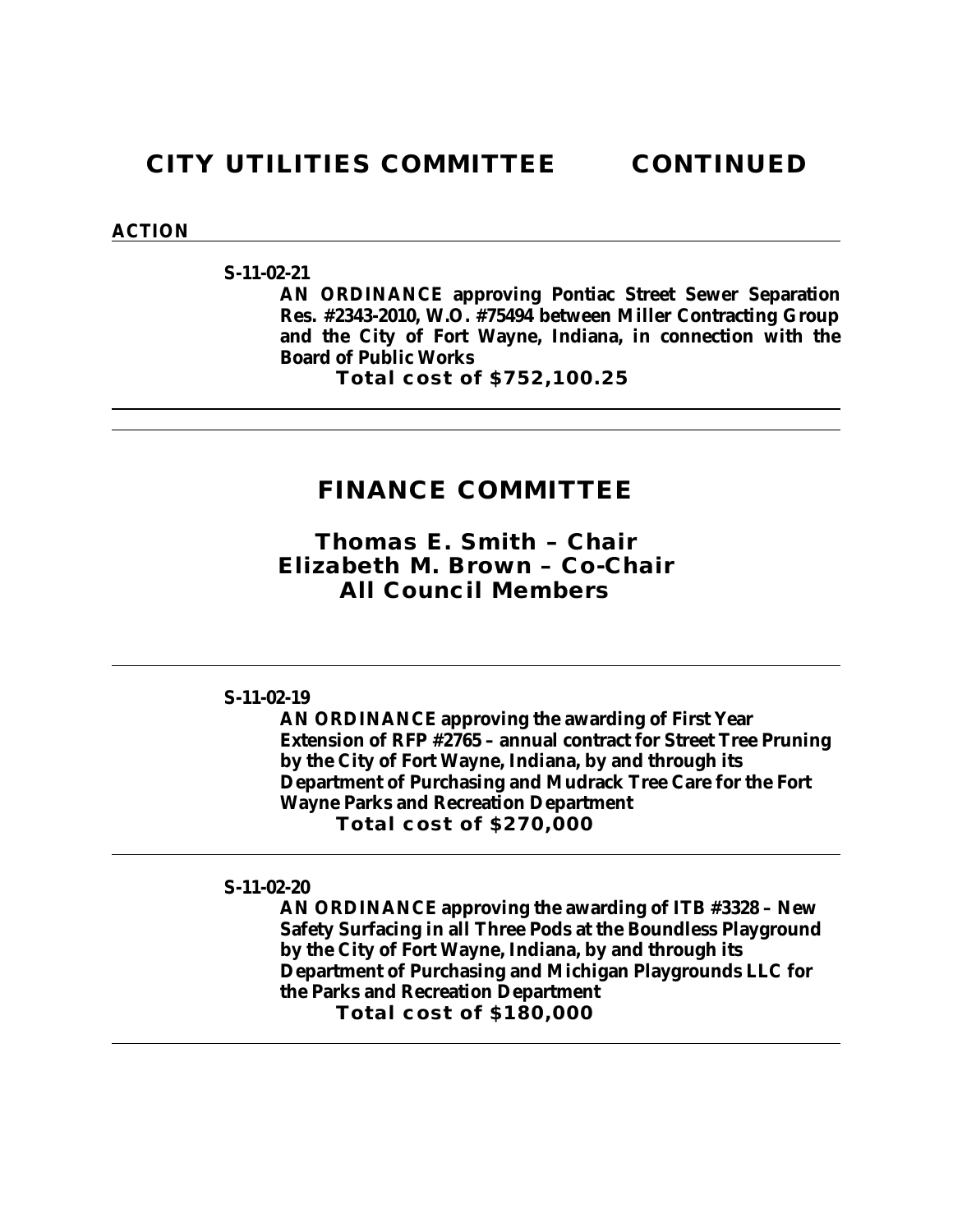**S-11-02-21**

**AN ORDINANCE approving Pontiac Street Sewer Separation Res. #2343-2010, W.O. #75494 between Miller Contracting Group and the City of Fort Wayne, Indiana, in connection with the Board of Public Works**

**Total cost of \$752,100.25**

## **FINANCE COMMITTEE**

*Thomas E. Smith – Chair Elizabeth M. Brown – Co-Chair All Council Members*

## **S-11-02-19**

**AN ORDINANCE approving the awarding of First Year Extension of RFP #2765 – annual contract for Street Tree Pruning by the City of Fort Wayne, Indiana, by and through its Department of Purchasing and Mudrack Tree Care for the Fort Wayne Parks and Recreation Department Total cost of \$270,000**

## **S-11-02-20**

**AN ORDINANCE approving the awarding of ITB #3328 – New Safety Surfacing in all Three Pods at the Boundless Playground by the City of Fort Wayne, Indiana, by and through its Department of Purchasing and Michigan Playgrounds LLC for the Parks and Recreation Department Total cost of \$180,000**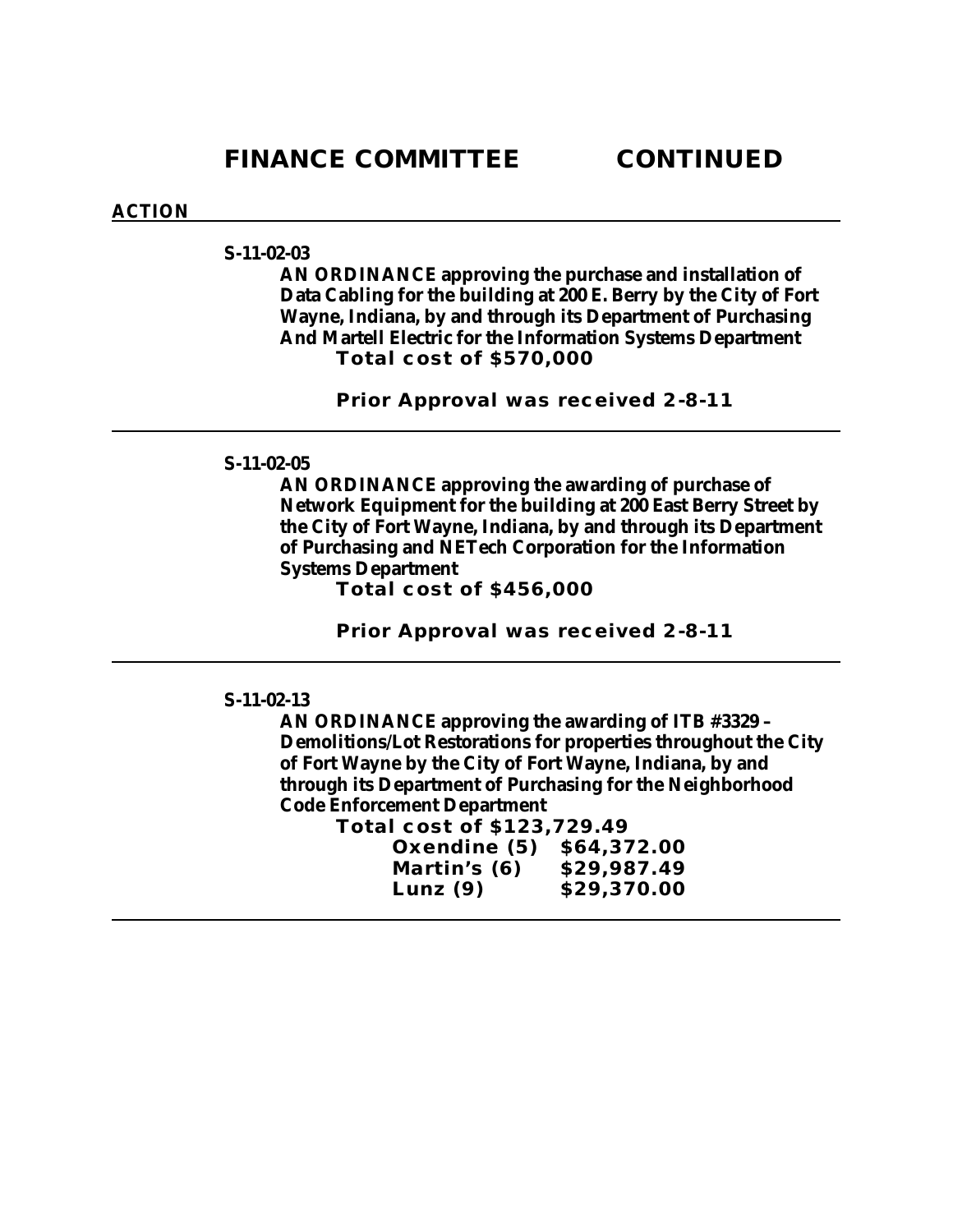## **S-11-02-03**

**AN ORDINANCE approving the purchase and installation of Data Cabling for the building at 200 E. Berry by the City of Fort Wayne, Indiana, by and through its Department of Purchasing And Martell Electric for the Information Systems Department Total cost of \$570,000**

**Prior Approval was received 2-8-11**

### **S-11-02-05**

**AN ORDINANCE approving the awarding of purchase of Network Equipment for the building at 200 East Berry Street by the City of Fort Wayne, Indiana, by and through its Department of Purchasing and NETech Corporation for the Information Systems Department**

**Total cost of \$456,000**

**Prior Approval was received 2-8-11**

## **S-11-02-13**

**AN ORDINANCE approving the awarding of ITB #3329 – Demolitions/Lot Restorations for properties throughout the City of Fort Wayne by the City of Fort Wayne, Indiana, by and through its Department of Purchasing for the Neighborhood Code Enforcement Department**

**Total cost of \$123,729.49**

| Oxendine (5) | \$64,372.00 |
|--------------|-------------|
| Martin's (6) | \$29,987.49 |
| Lunz $(9)$   | \$29,370.00 |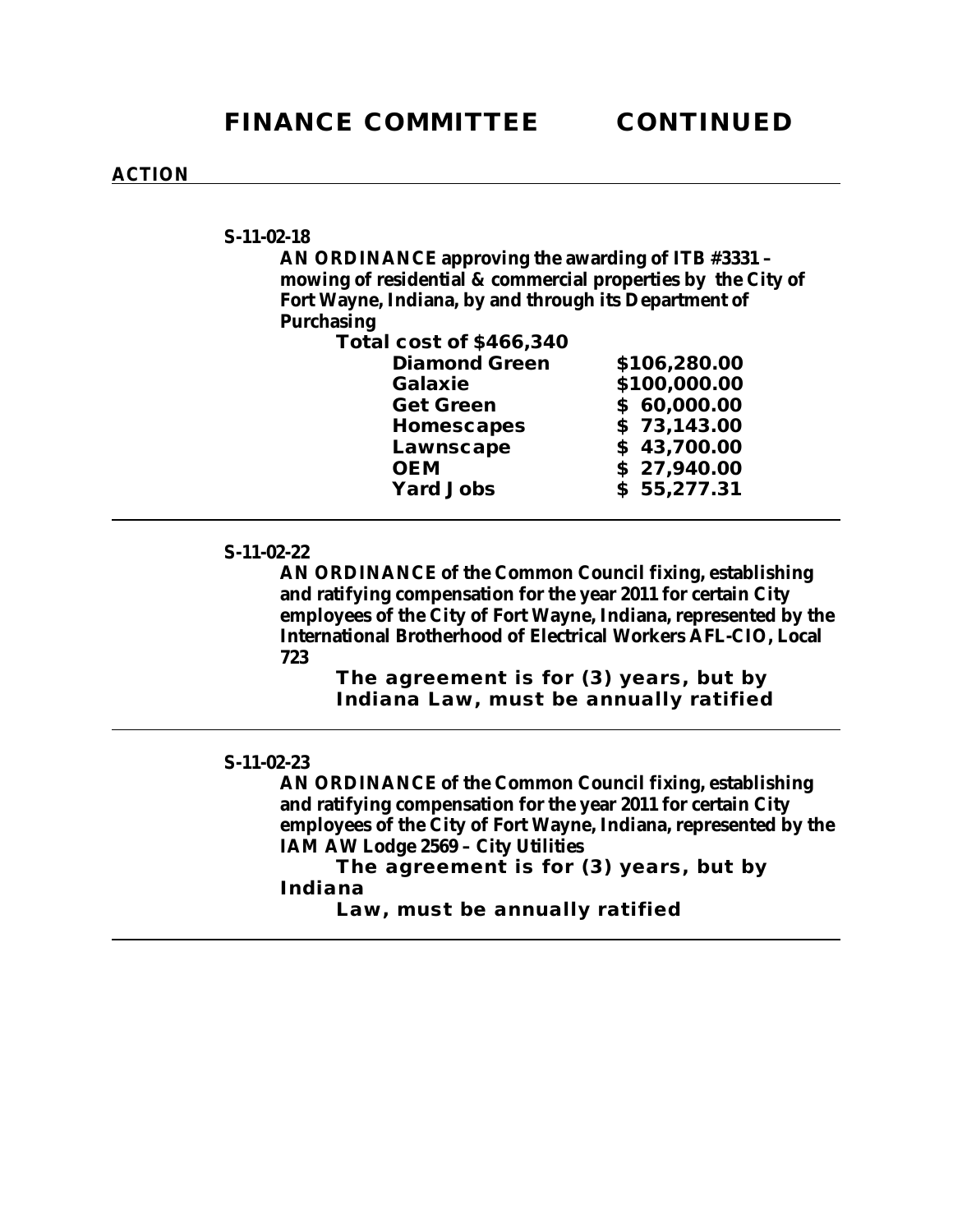**S-11-02-18**

**AN ORDINANCE approving the awarding of ITB #3331 – mowing of residential & commercial properties by the City of Fort Wayne, Indiana, by and through its Department of Purchasing** 

**Total cost of \$466,340**

| <b>Diamond Green</b> | \$106,280.00 |
|----------------------|--------------|
| <b>Galaxie</b>       | \$100,000.00 |
| <b>Get Green</b>     | \$60,000.00  |
| Homescapes           | \$73,143.00  |
| Lawnscape            | \$43,700.00  |
| <b>OEM</b>           | \$27,940.00  |
| <b>Yard Jobs</b>     | \$55,277.31  |
|                      |              |

#### **S-11-02-22**

**AN ORDINANCE of the Common Council fixing, establishing and ratifying compensation for the year 2011 for certain City employees of the City of Fort Wayne, Indiana, represented by the International Brotherhood of Electrical Workers AFL-CIO, Local 723**

**The agreement is for (3) years, but by Indiana Law, must be annually ratified**

## **S-11-02-23**

**AN ORDINANCE of the Common Council fixing, establishing and ratifying compensation for the year 2011 for certain City employees of the City of Fort Wayne, Indiana, represented by the IAM AW Lodge 2569 – City Utilities**

**The agreement is for (3) years, but by Indiana** 

**Law, must be annually ratified**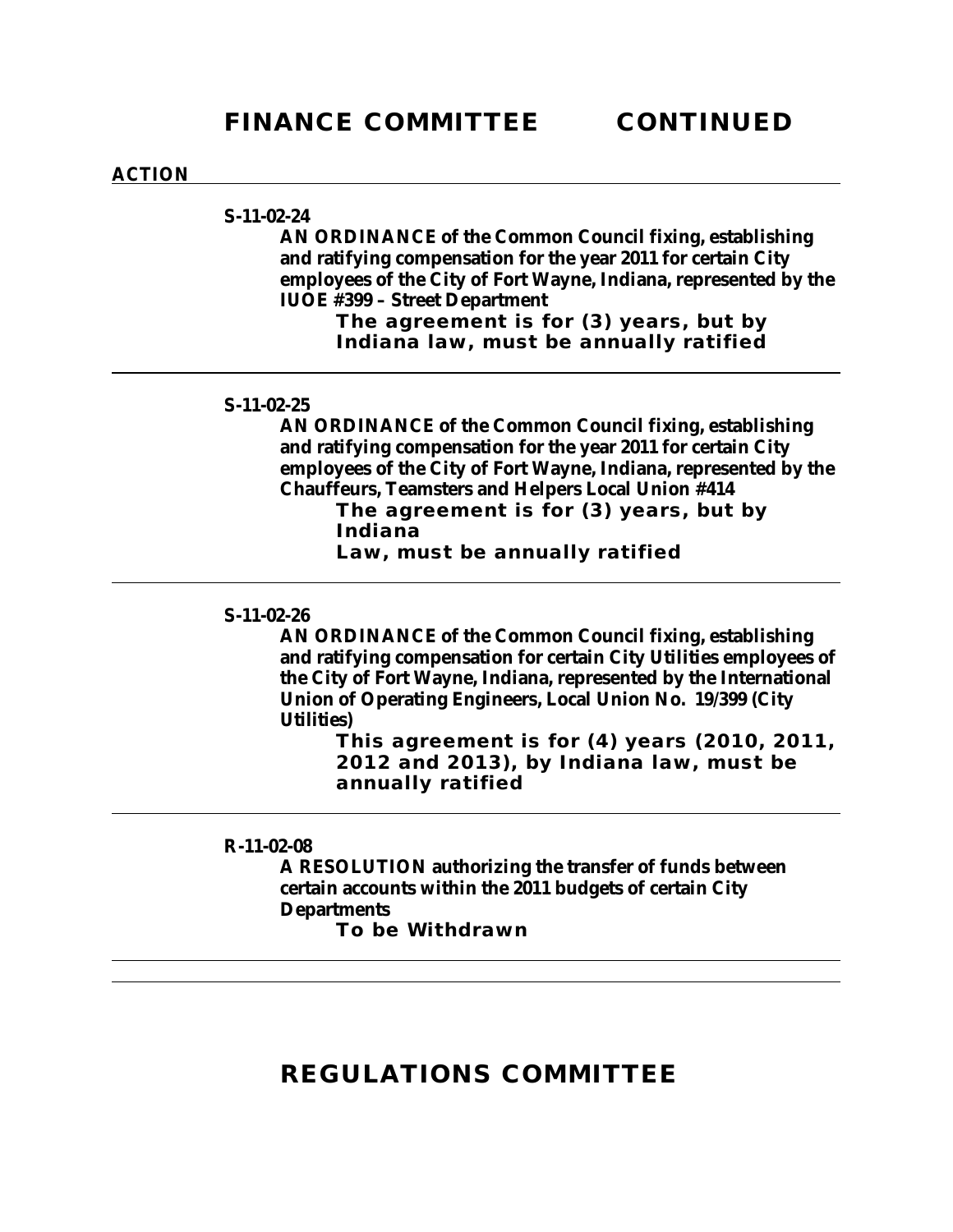**S-11-02-24**

**AN ORDINANCE of the Common Council fixing, establishing and ratifying compensation for the year 2011 for certain City employees of the City of Fort Wayne, Indiana, represented by the IUOE #399 – Street Department**

> **The agreement is for (3) years, but by Indiana law, must be annually ratified**

## **S-11-02-25**

**AN ORDINANCE of the Common Council fixing, establishing and ratifying compensation for the year 2011 for certain City employees of the City of Fort Wayne, Indiana, represented by the Chauffeurs, Teamsters and Helpers Local Union #414**

**The agreement is for (3) years, but by Indiana**

**Law, must be annually ratified**

## **S-11-02-26**

**AN ORDINANCE of the Common Council fixing, establishing and ratifying compensation for certain City Utilities employees of the City of Fort Wayne, Indiana, represented by the International Union of Operating Engineers, Local Union No. 19/399 (City Utilities)**

> **This agreement is for (4) years (2010, 2011, 2012 and 2013), by Indiana law, must be annually ratified**

### **R-11-02-08**

**A RESOLUTION authorizing the transfer of funds between certain accounts within the 2011 budgets of certain City Departments**

**To be Withdrawn** 

## **REGULATIONS COMMITTEE**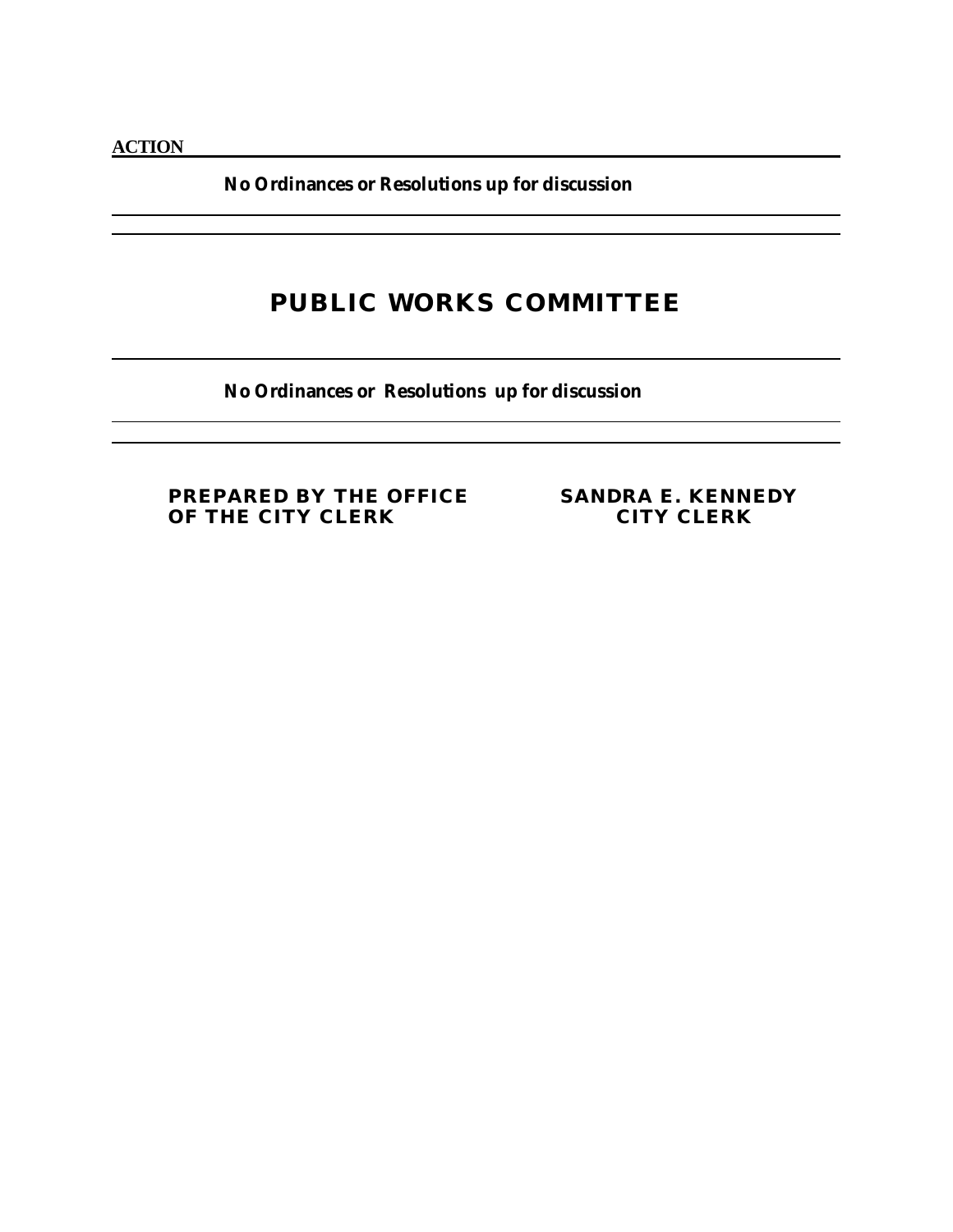**No Ordinances or Resolutions up for discussion**

## **PUBLIC WORKS COMMITTEE**

**No Ordinances or Resolutions up for discussion**

**PREPARED BY THE OFFICE SANDRA E. KENNEDY OF THE CITY CLERK**